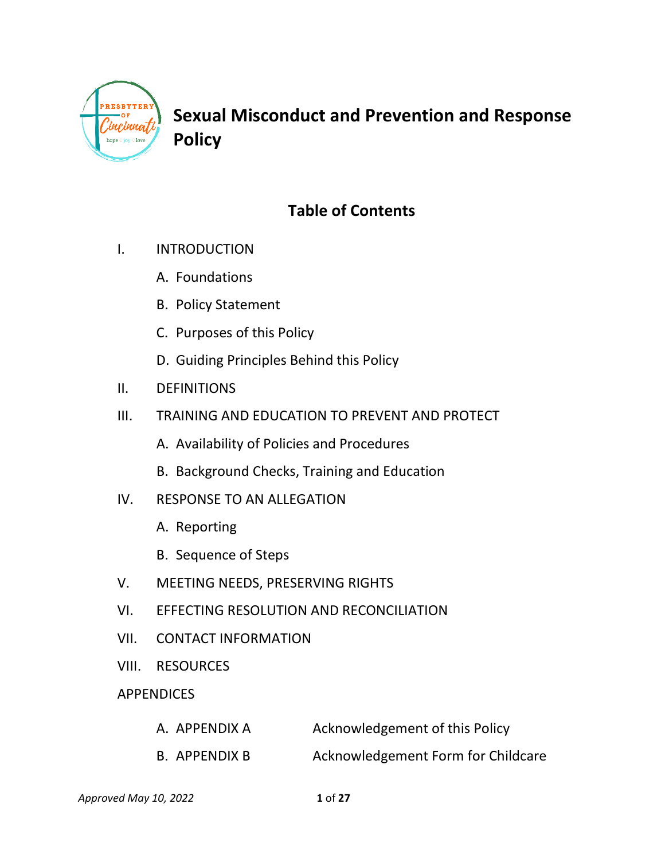

**Sexual Misconduct and Prevention and Response Policy**

# **Table of Contents**

- I. INTRODUCTION
	- A. Foundations
	- B. Policy Statement
	- C. Purposes of this Policy
	- D. Guiding Principles Behind this Policy
- II. DEFINITIONS
- III. TRAINING AND EDUCATION TO PREVENT AND PROTECT
	- A. Availability of Policies and Procedures
	- B. Background Checks, Training and Education
- IV. RESPONSE TO AN ALLEGATION
	- A. Reporting
	- B. Sequence of Steps
- V. MEETING NEEDS, PRESERVING RIGHTS
- VI. EFFECTING RESOLUTION AND RECONCILIATION
- VII. CONTACT INFORMATION
- VIII. RESOURCES

### **APPENDICES**

| A. APPENDIX A | Acknowledgement of this Policy     |  |
|---------------|------------------------------------|--|
| B. APPENDIX B | Acknowledgement Form for Childcare |  |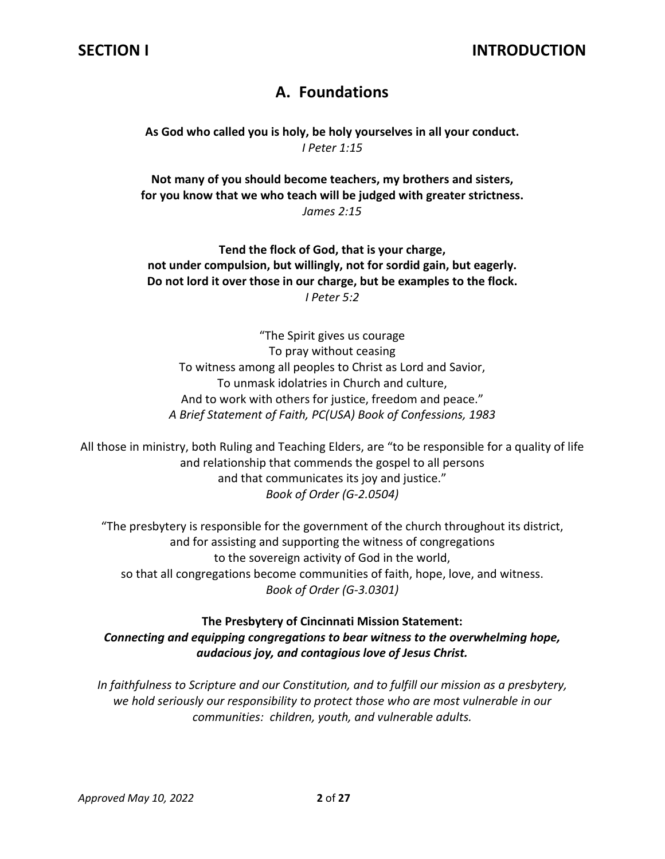## **A. Foundations**

**As God who called you is holy, be holy yourselves in all your conduct.** *I Peter 1:15*

**Not many of you should become teachers, my brothers and sisters, for you know that we who teach will be judged with greater strictness.** *James 2:15*

**Tend the flock of God, that is your charge, not under compulsion, but willingly, not for sordid gain, but eagerly. Do not lord it over those in our charge, but be examples to the flock.** *I Peter 5:2*

"The Spirit gives us courage To pray without ceasing To witness among all peoples to Christ as Lord and Savior, To unmask idolatries in Church and culture, And to work with others for justice, freedom and peace." *A Brief Statement of Faith, PC(USA) Book of Confessions, 1983*

All those in ministry, both Ruling and Teaching Elders, are "to be responsible for a quality of life and relationship that commends the gospel to all persons and that communicates its joy and justice." *Book of Order (G-2.0504)* 

"The presbytery is responsible for the government of the church throughout its district, and for assisting and supporting the witness of congregations to the sovereign activity of God in the world, so that all congregations become communities of faith, hope, love, and witness. *Book of Order (G-3.0301)*

### **The Presbytery of Cincinnati Mission Statement:**  *Connecting and equipping congregations to bear witness to the overwhelming hope, audacious joy, and contagious love of Jesus Christ.*

*In faithfulness to Scripture and our Constitution, and to fulfill our mission as a presbytery, we hold seriously our responsibility to protect those who are most vulnerable in our communities: children, youth, and vulnerable adults.*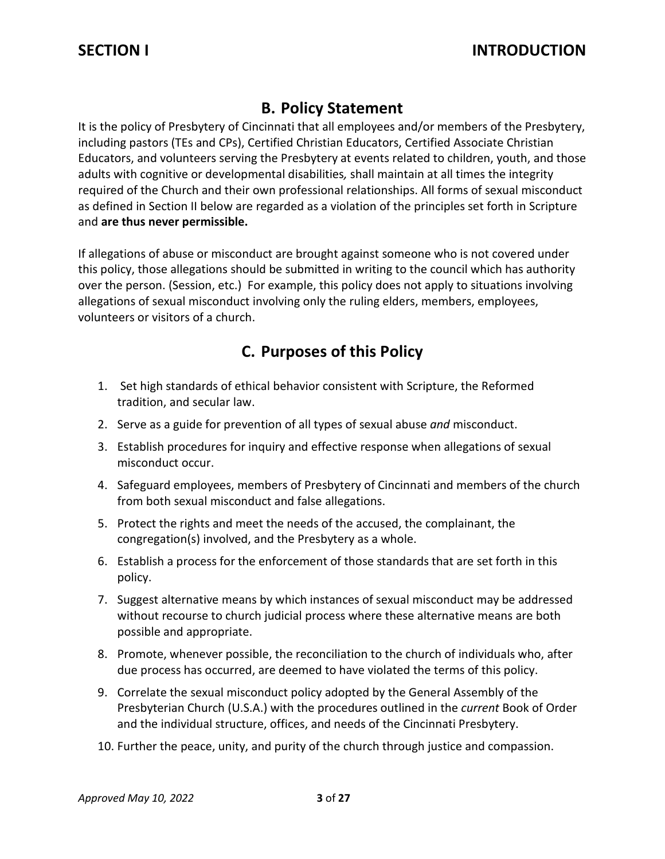## **B. Policy Statement**

It is the policy of Presbytery of Cincinnati that all employees and/or members of the Presbytery, including pastors (TEs and CPs), Certified Christian Educators, Certified Associate Christian Educators, and volunteers serving the Presbytery at events related to children, youth, and those adults with cognitive or developmental disabilities*,* shall maintain at all times the integrity required of the Church and their own professional relationships. All forms of sexual misconduct as defined in Section II below are regarded as a violation of the principles set forth in Scripture and **are thus never permissible.**

If allegations of abuse or misconduct are brought against someone who is not covered under this policy, those allegations should be submitted in writing to the council which has authority over the person. (Session, etc.) For example, this policy does not apply to situations involving allegations of sexual misconduct involving only the ruling elders, members, employees, volunteers or visitors of a church.

## **C. Purposes of this Policy**

- 1. Set high standards of ethical behavior consistent with Scripture, the Reformed tradition, and secular law.
- 2. Serve as a guide for prevention of all types of sexual abuse *and* misconduct.
- 3. Establish procedures for inquiry and effective response when allegations of sexual misconduct occur.
- 4. Safeguard employees, members of Presbytery of Cincinnati and members of the church from both sexual misconduct and false allegations.
- 5. Protect the rights and meet the needs of the accused, the complainant, the congregation(s) involved, and the Presbytery as a whole.
- 6. Establish a process for the enforcement of those standards that are set forth in this policy.
- 7. Suggest alternative means by which instances of sexual misconduct may be addressed without recourse to church judicial process where these alternative means are both possible and appropriate.
- 8. Promote, whenever possible, the reconciliation to the church of individuals who, after due process has occurred, are deemed to have violated the terms of this policy.
- 9. Correlate the sexual misconduct policy adopted by the General Assembly of the Presbyterian Church (U.S.A.) with the procedures outlined in the *current* Book of Order and the individual structure, offices, and needs of the Cincinnati Presbytery.
- 10. Further the peace, unity, and purity of the church through justice and compassion.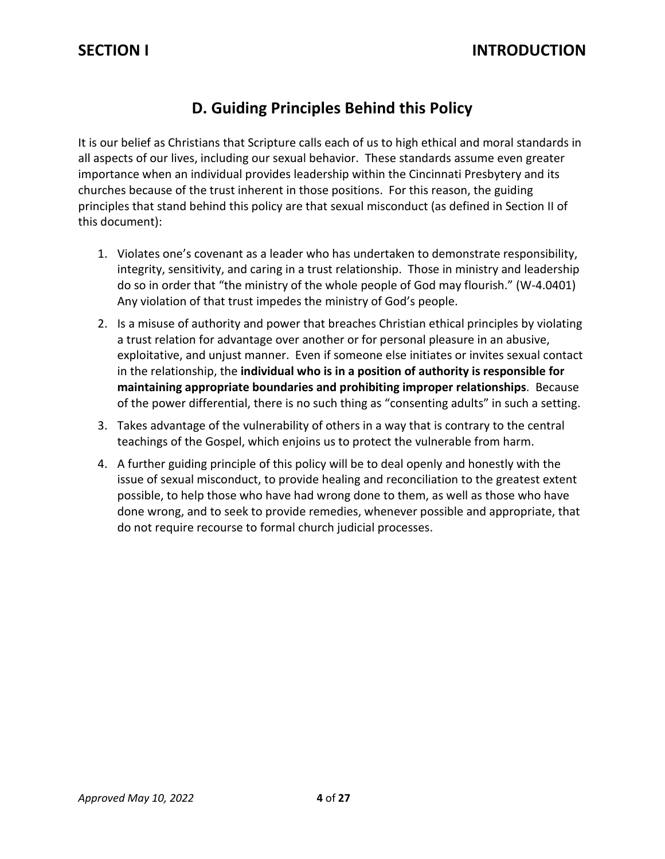## **D. Guiding Principles Behind this Policy**

It is our belief as Christians that Scripture calls each of us to high ethical and moral standards in all aspects of our lives, including our sexual behavior. These standards assume even greater importance when an individual provides leadership within the Cincinnati Presbytery and its churches because of the trust inherent in those positions. For this reason, the guiding principles that stand behind this policy are that sexual misconduct (as defined in Section II of this document):

- 1. Violates one's covenant as a leader who has undertaken to demonstrate responsibility, integrity, sensitivity, and caring in a trust relationship. Those in ministry and leadership do so in order that "the ministry of the whole people of God may flourish." (W-4.0401) Any violation of that trust impedes the ministry of God's people.
- 2. Is a misuse of authority and power that breaches Christian ethical principles by violating a trust relation for advantage over another or for personal pleasure in an abusive, exploitative, and unjust manner. Even if someone else initiates or invites sexual contact in the relationship, the **individual who is in a position of authority is responsible for maintaining appropriate boundaries and prohibiting improper relationships**. Because of the power differential, there is no such thing as "consenting adults" in such a setting.
- 3. Takes advantage of the vulnerability of others in a way that is contrary to the central teachings of the Gospel, which enjoins us to protect the vulnerable from harm.
- 4. A further guiding principle of this policy will be to deal openly and honestly with the issue of sexual misconduct, to provide healing and reconciliation to the greatest extent possible, to help those who have had wrong done to them, as well as those who have done wrong, and to seek to provide remedies, whenever possible and appropriate, that do not require recourse to formal church judicial processes.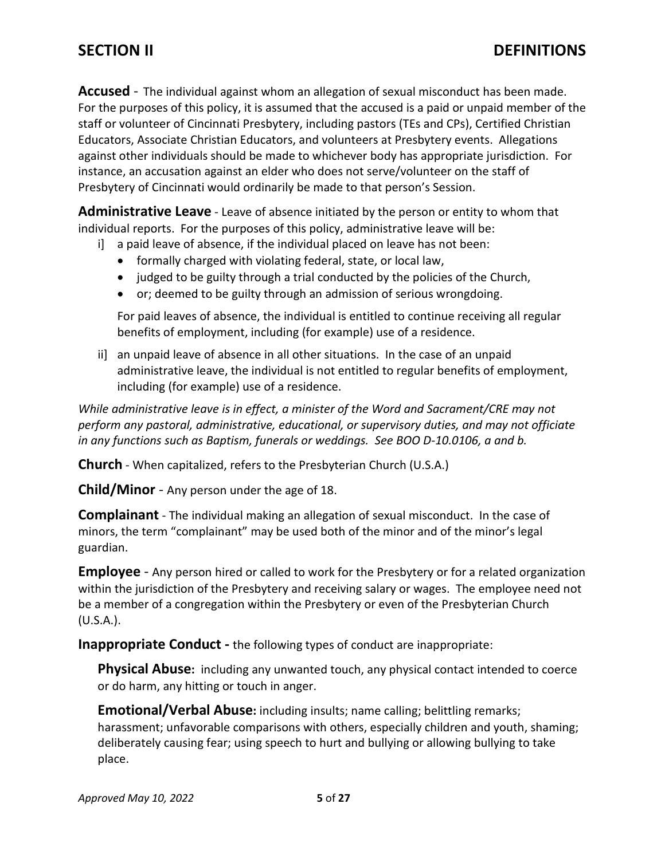**Accused** - The individual against whom an allegation of sexual misconduct has been made. For the purposes of this policy, it is assumed that the accused is a paid or unpaid member of the staff or volunteer of Cincinnati Presbytery, including pastors (TEs and CPs), Certified Christian Educators, Associate Christian Educators, and volunteers at Presbytery events. Allegations against other individuals should be made to whichever body has appropriate jurisdiction. For instance, an accusation against an elder who does not serve/volunteer on the staff of Presbytery of Cincinnati would ordinarily be made to that person's Session.

**Administrative Leave** - Leave of absence initiated by the person or entity to whom that individual reports. For the purposes of this policy, administrative leave will be:

- i] a paid leave of absence, if the individual placed on leave has not been:
	- formally charged with violating federal, state, or local law,
	- judged to be guilty through a trial conducted by the policies of the Church,
	- or; deemed to be guilty through an admission of serious wrongdoing.

For paid leaves of absence, the individual is entitled to continue receiving all regular benefits of employment, including (for example) use of a residence.

ii] an unpaid leave of absence in all other situations. In the case of an unpaid administrative leave, the individual is not entitled to regular benefits of employment, including (for example) use of a residence.

*While administrative leave is in effect, a minister of the Word and Sacrament/CRE may not perform any pastoral, administrative, educational, or supervisory duties, and may not officiate in any functions such as Baptism, funerals or weddings. See BOO D-10.0106, a and b.*

**Church** - When capitalized, refers to the Presbyterian Church (U.S.A.)

**Child/Minor** - Any person under the age of 18.

**Complainant** - The individual making an allegation of sexual misconduct. In the case of minors, the term "complainant" may be used both of the minor and of the minor's legal guardian.

**Employee** - Any person hired or called to work for the Presbytery or for a related organization within the jurisdiction of the Presbytery and receiving salary or wages. The employee need not be a member of a congregation within the Presbytery or even of the Presbyterian Church (U.S.A.).

**Inappropriate Conduct -** the following types of conduct are inappropriate:

**Physical Abuse:**including any unwanted touch, any physical contact intended to coerce or do harm, any hitting or touch in anger.

**Emotional/Verbal Abuse:** including insults; name calling; belittling remarks; harassment; unfavorable comparisons with others, especially children and youth, shaming; deliberately causing fear; using speech to hurt and bullying or allowing bullying to take place.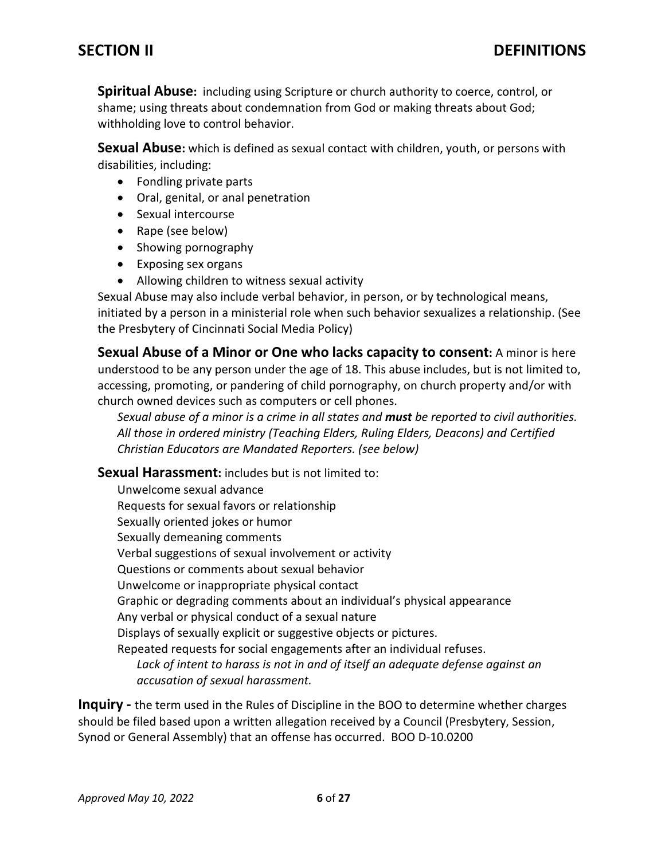**Spiritual Abuse:** including using Scripture or church authority to coerce, control, or shame; using threats about condemnation from God or making threats about God; withholding love to control behavior.

**Sexual Abuse:** which is defined as sexual contact with children, youth, or persons with disabilities, including:

- Fondling private parts
- Oral, genital, or anal penetration
- Sexual intercourse
- Rape (see below)
- Showing pornography
- Exposing sex organs
- Allowing children to witness sexual activity

Sexual Abuse may also include verbal behavior, in person, or by technological means, initiated by a person in a ministerial role when such behavior sexualizes a relationship. (See the Presbytery of Cincinnati Social Media Policy)

**Sexual Abuse of a Minor or One who lacks capacity to consent:** A minor is here understood to be any person under the age of 18. This abuse includes, but is not limited to, accessing, promoting, or pandering of child pornography, on church property and/or with church owned devices such as computers or cell phones.

*Sexual abuse of a minor is a crime in all states and must be reported to civil authorities. All those in ordered ministry (Teaching Elders, Ruling Elders, Deacons) and Certified Christian Educators are Mandated Reporters. (see below)* 

**Sexual Harassment:** includes but is not limited to:

Unwelcome sexual advance Requests for sexual favors or relationship Sexually oriented jokes or humor Sexually demeaning comments Verbal suggestions of sexual involvement or activity Questions or comments about sexual behavior Unwelcome or inappropriate physical contact Graphic or degrading comments about an individual's physical appearance Any verbal or physical conduct of a sexual nature Displays of sexually explicit or suggestive objects or pictures. Repeated requests for social engagements after an individual refuses. Lack of intent to harass is not in and of itself an adequate defense against an *accusation of sexual harassment.*

**Inquiry -** the term used in the Rules of Discipline in the BOO to determine whether charges should be filed based upon a written allegation received by a Council (Presbytery, Session, Synod or General Assembly) that an offense has occurred. BOO D-10.0200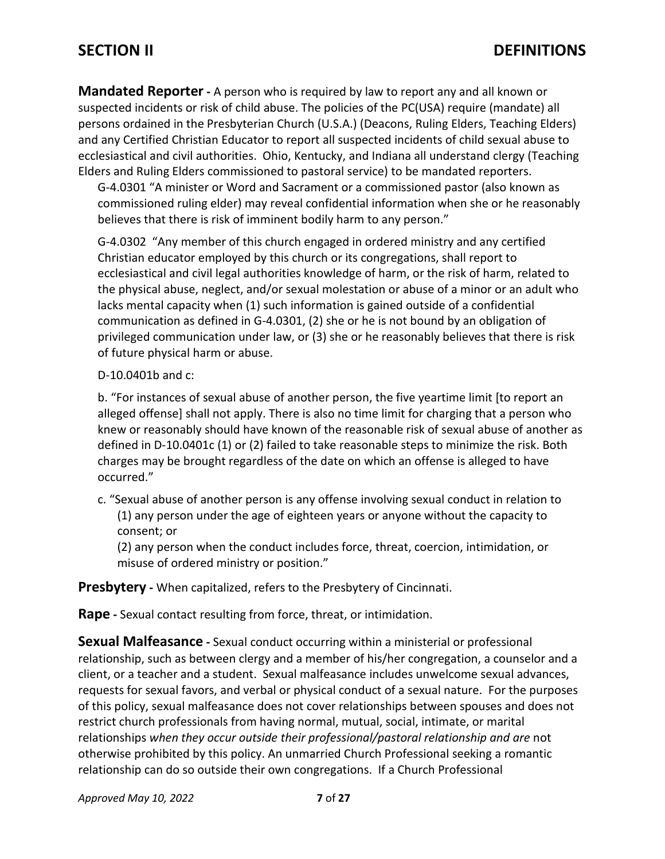**Mandated Reporter -** A person who is required by law to report any and all known or suspected incidents or risk of child abuse. The policies of the PC(USA) require (mandate) all persons ordained in the Presbyterian Church (U.S.A.) (Deacons, Ruling Elders, Teaching Elders) and any Certified Christian Educator to report all suspected incidents of child sexual abuse to ecclesiastical and civil authorities. Ohio, Kentucky, and Indiana all understand clergy (Teaching Elders and Ruling Elders commissioned to pastoral service) to be mandated reporters.

G-4.0301 "A minister or Word and Sacrament or a commissioned pastor (also known as commissioned ruling elder) may reveal confidential information when she or he reasonably believes that there is risk of imminent bodily harm to any person."

G-4.0302 "Any member of this church engaged in ordered ministry and any certified Christian educator employed by this church or its congregations, shall report to ecclesiastical and civil legal authorities knowledge of harm, or the risk of harm, related to the physical abuse, neglect, and/or sexual molestation or abuse of a minor or an adult who lacks mental capacity when (1) such information is gained outside of a confidential communication as defined in G-4.0301, (2) she or he is not bound by an obligation of privileged communication under law, or (3) she or he reasonably believes that there is risk of future physical harm or abuse.

### D-10.0401b and c:

b. "For instances of sexual abuse of another person, the five yeartime limit [to report an alleged offense] shall not apply. There is also no time limit for charging that a person who knew or reasonably should have known of the reasonable risk of sexual abuse of another as defined in D-10.0401c (1) or (2) failed to take reasonable steps to minimize the risk. Both charges may be brought regardless of the date on which an offense is alleged to have occurred."

c. "Sexual abuse of another person is any offense involving sexual conduct in relation to (1) any person under the age of eighteen years or anyone without the capacity to consent; or

(2) any person when the conduct includes force, threat, coercion, intimidation, or misuse of ordered ministry or position."

**Presbytery -** When capitalized, refers to the Presbytery of Cincinnati.

**Rape -** Sexual contact resulting from force, threat, or intimidation.

**Sexual Malfeasance -** Sexual conduct occurring within a ministerial or professional relationship, such as between clergy and a member of his/her congregation, a counselor and a client, or a teacher and a student. Sexual malfeasance includes unwelcome sexual advances, requests for sexual favors, and verbal or physical conduct of a sexual nature. For the purposes of this policy, sexual malfeasance does not cover relationships between spouses and does not restrict church professionals from having normal, mutual, social, intimate, or marital relationships *when they occur outside their professional/pastoral relationship and are* not otherwise prohibited by this policy. An unmarried Church Professional seeking a romantic relationship can do so outside their own congregations. If a Church Professional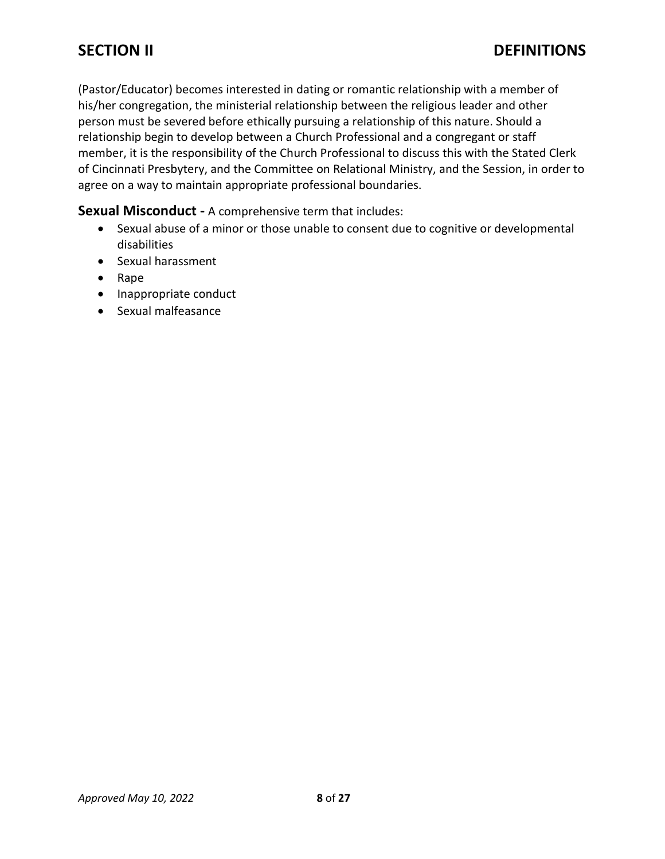(Pastor/Educator) becomes interested in dating or romantic relationship with a member of his/her congregation, the ministerial relationship between the religious leader and other person must be severed before ethically pursuing a relationship of this nature. Should a relationship begin to develop between a Church Professional and a congregant or staff member, it is the responsibility of the Church Professional to discuss this with the Stated Clerk of Cincinnati Presbytery, and the Committee on Relational Ministry, and the Session, in order to agree on a way to maintain appropriate professional boundaries.

### **Sexual Misconduct -** A comprehensive term that includes:

- Sexual abuse of a minor or those unable to consent due to cognitive or developmental disabilities
- Sexual harassment
- Rape
- Inappropriate conduct
- Sexual malfeasance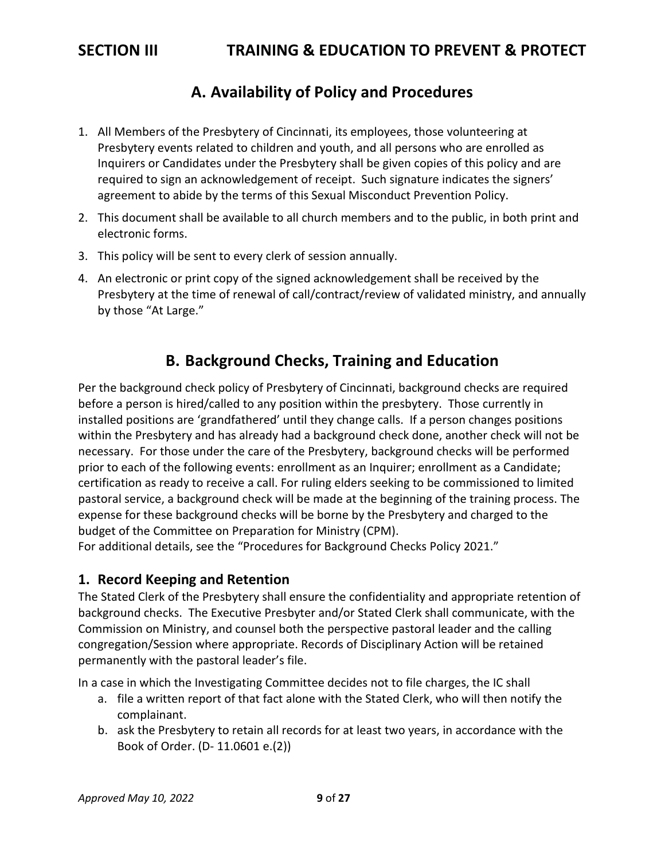## **A. Availability of Policy and Procedures**

- 1. All Members of the Presbytery of Cincinnati, its employees, those volunteering at Presbytery events related to children and youth, and all persons who are enrolled as Inquirers or Candidates under the Presbytery shall be given copies of this policy and are required to sign an acknowledgement of receipt. Such signature indicates the signers' agreement to abide by the terms of this Sexual Misconduct Prevention Policy.
- 2. This document shall be available to all church members and to the public, in both print and electronic forms.
- 3. This policy will be sent to every clerk of session annually.
- 4. An electronic or print copy of the signed acknowledgement shall be received by the Presbytery at the time of renewal of call/contract/review of validated ministry, and annually by those "At Large."

## **B. Background Checks, Training and Education**

Per the background check policy of Presbytery of Cincinnati, background checks are required before a person is hired/called to any position within the presbytery. Those currently in installed positions are 'grandfathered' until they change calls. If a person changes positions within the Presbytery and has already had a background check done, another check will not be necessary. For those under the care of the Presbytery, background checks will be performed prior to each of the following events: enrollment as an Inquirer; enrollment as a Candidate; certification as ready to receive a call. For ruling elders seeking to be commissioned to limited pastoral service, a background check will be made at the beginning of the training process. The expense for these background checks will be borne by the Presbytery and charged to the budget of the Committee on Preparation for Ministry (CPM).

For additional details, see the "Procedures for Background Checks Policy 2021."

### **1. Record Keeping and Retention**

The Stated Clerk of the Presbytery shall ensure the confidentiality and appropriate retention of background checks. The Executive Presbyter and/or Stated Clerk shall communicate, with the Commission on Ministry, and counsel both the perspective pastoral leader and the calling congregation/Session where appropriate. Records of Disciplinary Action will be retained permanently with the pastoral leader's file.

In a case in which the Investigating Committee decides not to file charges, the IC shall

- a. file a written report of that fact alone with the Stated Clerk, who will then notify the complainant.
- b. ask the Presbytery to retain all records for at least two years, in accordance with the Book of Order. (D- 11.0601 e.(2))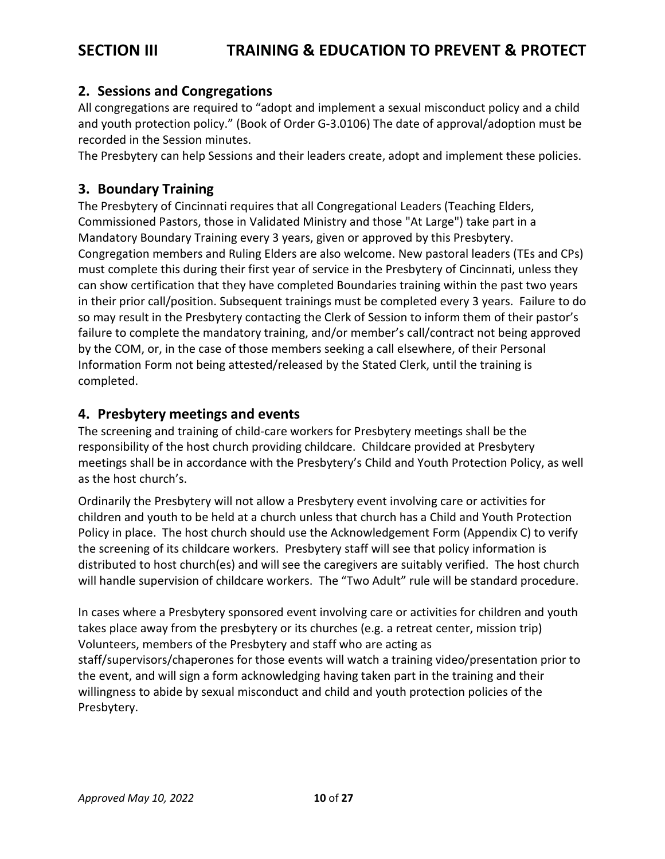# **SECTION III TRAINING & EDUCATION TO PREVENT & PROTECT**

### **2. Sessions and Congregations**

All congregations are required to "adopt and implement a sexual misconduct policy and a child and youth protection policy." (Book of Order G-3.0106) The date of approval/adoption must be recorded in the Session minutes.

The Presbytery can help Sessions and their leaders create, adopt and implement these policies.

### **3. Boundary Training**

The Presbytery of Cincinnati requires that all Congregational Leaders (Teaching Elders, Commissioned Pastors, those in Validated Ministry and those "At Large") take part in a Mandatory Boundary Training every 3 years, given or approved by this Presbytery. Congregation members and Ruling Elders are also welcome. New pastoral leaders (TEs and CPs) must complete this during their first year of service in the Presbytery of Cincinnati, unless they can show certification that they have completed Boundaries training within the past two years in their prior call/position. Subsequent trainings must be completed every 3 years. Failure to do so may result in the Presbytery contacting the Clerk of Session to inform them of their pastor's failure to complete the mandatory training, and/or member's call/contract not being approved by the COM, or, in the case of those members seeking a call elsewhere, of their Personal Information Form not being attested/released by the Stated Clerk, until the training is completed.

### **4. Presbytery meetings and events**

The screening and training of child-care workers for Presbytery meetings shall be the responsibility of the host church providing childcare. Childcare provided at Presbytery meetings shall be in accordance with the Presbytery's Child and Youth Protection Policy, as well as the host church's.

Ordinarily the Presbytery will not allow a Presbytery event involving care or activities for children and youth to be held at a church unless that church has a Child and Youth Protection Policy in place. The host church should use the Acknowledgement Form (Appendix C) to verify the screening of its childcare workers. Presbytery staff will see that policy information is distributed to host church(es) and will see the caregivers are suitably verified. The host church will handle supervision of childcare workers. The "Two Adult" rule will be standard procedure.

In cases where a Presbytery sponsored event involving care or activities for children and youth takes place away from the presbytery or its churches (e.g. a retreat center, mission trip) Volunteers, members of the Presbytery and staff who are acting as staff/supervisors/chaperones for those events will watch a training video/presentation prior to the event, and will sign a form acknowledging having taken part in the training and their willingness to abide by sexual misconduct and child and youth protection policies of the Presbytery.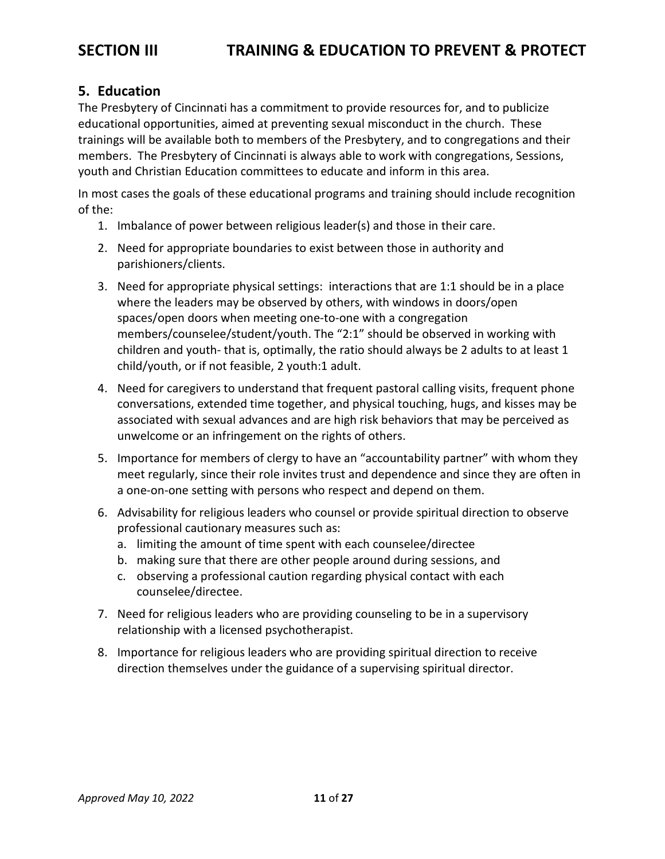### **5. Education**

The Presbytery of Cincinnati has a commitment to provide resources for, and to publicize educational opportunities, aimed at preventing sexual misconduct in the church. These trainings will be available both to members of the Presbytery, and to congregations and their members. The Presbytery of Cincinnati is always able to work with congregations, Sessions, youth and Christian Education committees to educate and inform in this area.

In most cases the goals of these educational programs and training should include recognition of the:

- 1. Imbalance of power between religious leader(s) and those in their care.
- 2. Need for appropriate boundaries to exist between those in authority and parishioners/clients.
- 3. Need for appropriate physical settings: interactions that are 1:1 should be in a place where the leaders may be observed by others, with windows in doors/open spaces/open doors when meeting one-to-one with a congregation members/counselee/student/youth. The "2:1" should be observed in working with children and youth- that is, optimally, the ratio should always be 2 adults to at least 1 child/youth, or if not feasible, 2 youth:1 adult.
- 4. Need for caregivers to understand that frequent pastoral calling visits, frequent phone conversations, extended time together, and physical touching, hugs, and kisses may be associated with sexual advances and are high risk behaviors that may be perceived as unwelcome or an infringement on the rights of others.
- 5. Importance for members of clergy to have an "accountability partner" with whom they meet regularly, since their role invites trust and dependence and since they are often in a one-on-one setting with persons who respect and depend on them.
- 6. Advisability for religious leaders who counsel or provide spiritual direction to observe professional cautionary measures such as:
	- a. limiting the amount of time spent with each counselee/directee
	- b. making sure that there are other people around during sessions, and
	- c. observing a professional caution regarding physical contact with each counselee/directee.
- 7. Need for religious leaders who are providing counseling to be in a supervisory relationship with a licensed psychotherapist.
- 8. Importance for religious leaders who are providing spiritual direction to receive direction themselves under the guidance of a supervising spiritual director.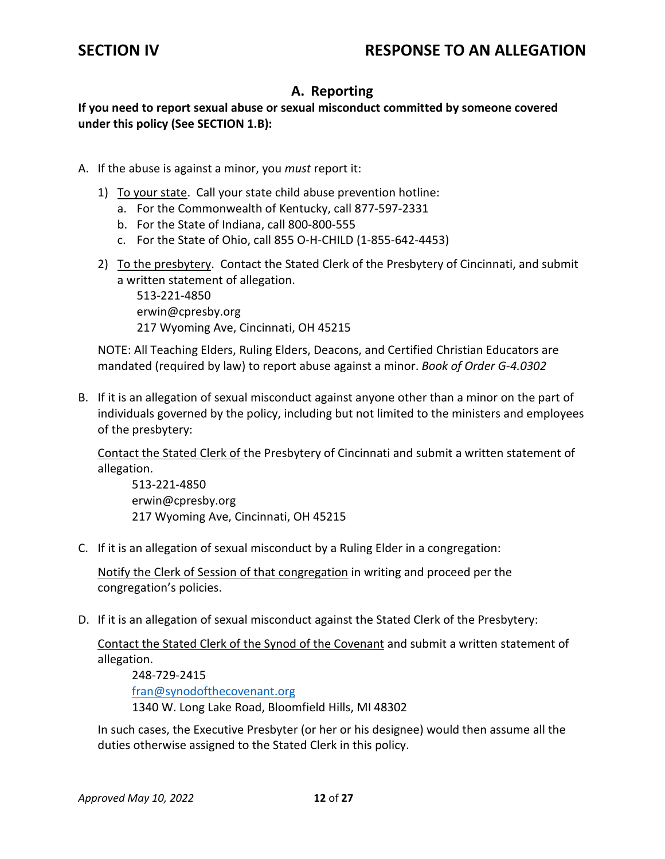## **A. Reporting**

**If you need to report sexual abuse or sexual misconduct committed by someone covered under this policy (See SECTION 1.B):**

- A. If the abuse is against a minor, you *must* report it:
	- 1) To your state. Call your state child abuse prevention hotline:
		- a. For the Commonwealth of Kentucky, call 877-597-2331
		- b. For the State of Indiana, call 800-800-555
		- c. For the State of Ohio, call 855 O-H-CHILD (1-855-642-4453)
	- 2) To the presbytery. Contact the Stated Clerk of the Presbytery of Cincinnati, and submit a written statement of allegation.

513-221-4850 erwin@cpresby.org 217 Wyoming Ave, Cincinnati, OH 45215

NOTE: All Teaching Elders, Ruling Elders, Deacons, and Certified Christian Educators are mandated (required by law) to report abuse against a minor. *Book of Order G-4.0302*

B. If it is an allegation of sexual misconduct against anyone other than a minor on the part of individuals governed by the policy, including but not limited to the ministers and employees of the presbytery:

Contact the Stated Clerk of the Presbytery of Cincinnati and submit a written statement of allegation.

513-221-4850 erwin@cpresby.org 217 Wyoming Ave, Cincinnati, OH 45215

C. If it is an allegation of sexual misconduct by a Ruling Elder in a congregation:

Notify the Clerk of Session of that congregation in writing and proceed per the congregation's policies.

D. If it is an allegation of sexual misconduct against the Stated Clerk of the Presbytery:

Contact the Stated Clerk of the Synod of the Covenant and submit a written statement of allegation.

[248-729-2415](tel:248-729-2415) [fran@synodofthecovenant.org](mailto:fran@synodofthecovenant.org)  1340 W. Long Lake Road, Bloomfield Hills, MI 48302

In such cases, the Executive Presbyter (or her or his designee) would then assume all the duties otherwise assigned to the Stated Clerk in this policy.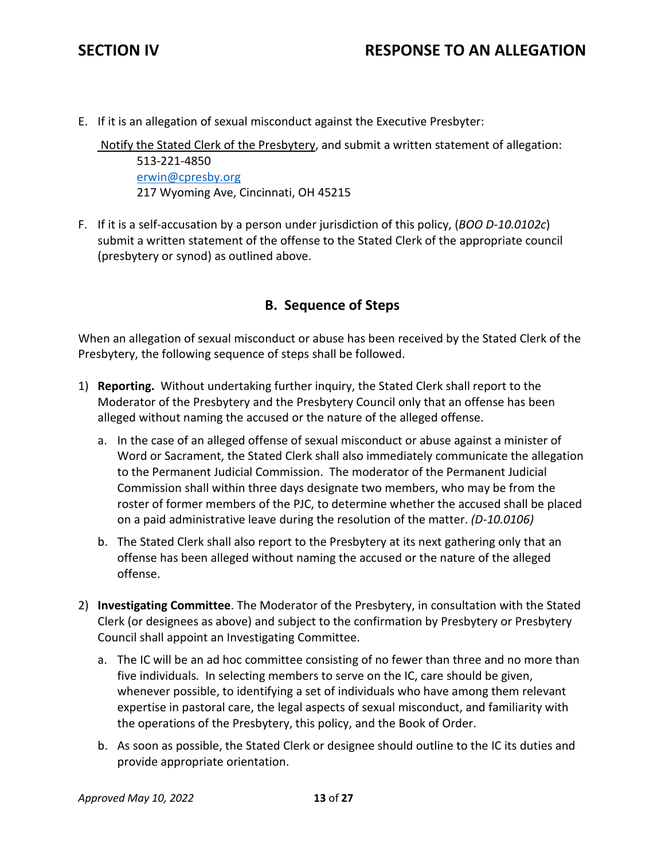E. If it is an allegation of sexual misconduct against the Executive Presbyter:

Notify the Stated Clerk of the Presbytery, and submit a written statement of allegation: 513-221-4850 [erwin@cpresby.org](mailto:erwin@cpresby.org) 217 Wyoming Ave, Cincinnati, OH 45215

F. If it is a self-accusation by a person under jurisdiction of this policy, (*BOO D-10.0102c*) submit a written statement of the offense to the Stated Clerk of the appropriate council (presbytery or synod) as outlined above.

### **B. Sequence of Steps**

When an allegation of sexual misconduct or abuse has been received by the Stated Clerk of the Presbytery, the following sequence of steps shall be followed.

- 1) **Reporting.** Without undertaking further inquiry, the Stated Clerk shall report to the Moderator of the Presbytery and the Presbytery Council only that an offense has been alleged without naming the accused or the nature of the alleged offense.
	- a. In the case of an alleged offense of sexual misconduct or abuse against a minister of Word or Sacrament, the Stated Clerk shall also immediately communicate the allegation to the Permanent Judicial Commission. The moderator of the Permanent Judicial Commission shall within three days designate two members, who may be from the roster of former members of the PJC, to determine whether the accused shall be placed on a paid administrative leave during the resolution of the matter. *(D-10.0106)*
	- b. The Stated Clerk shall also report to the Presbytery at its next gathering only that an offense has been alleged without naming the accused or the nature of the alleged offense.
- 2) **Investigating Committee**. The Moderator of the Presbytery, in consultation with the Stated Clerk (or designees as above) and subject to the confirmation by Presbytery or Presbytery Council shall appoint an Investigating Committee.
	- a. The IC will be an ad hoc committee consisting of no fewer than three and no more than five individuals*.* In selecting members to serve on the IC, care should be given, whenever possible, to identifying a set of individuals who have among them relevant expertise in pastoral care, the legal aspects of sexual misconduct, and familiarity with the operations of the Presbytery, this policy, and the Book of Order.
	- b. As soon as possible, the Stated Clerk or designee should outline to the IC its duties and provide appropriate orientation.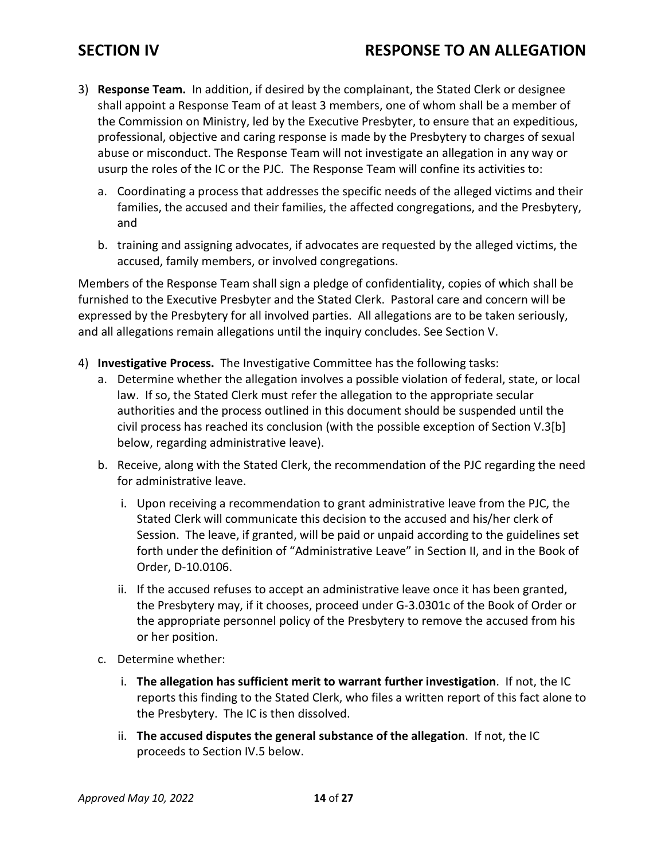## **SECTION IV RESPONSE TO AN ALLEGATION**

- 3) **Response Team.** In addition, if desired by the complainant, the Stated Clerk or designee shall appoint a Response Team of at least 3 members, one of whom shall be a member of the Commission on Ministry, led by the Executive Presbyter, to ensure that an expeditious, professional, objective and caring response is made by the Presbytery to charges of sexual abuse or misconduct. The Response Team will not investigate an allegation in any way or usurp the roles of the IC or the PJC. The Response Team will confine its activities to:
	- a. Coordinating a process that addresses the specific needs of the alleged victims and their families, the accused and their families, the affected congregations, and the Presbytery, and
	- b. training and assigning advocates, if advocates are requested by the alleged victims, the accused, family members, or involved congregations.

Members of the Response Team shall sign a pledge of confidentiality, copies of which shall be furnished to the Executive Presbyter and the Stated Clerk. Pastoral care and concern will be expressed by the Presbytery for all involved parties. All allegations are to be taken seriously, and all allegations remain allegations until the inquiry concludes. See Section V.

- 4) **Investigative Process.** The Investigative Committee has the following tasks:
	- a. Determine whether the allegation involves a possible violation of federal, state, or local law. If so, the Stated Clerk must refer the allegation to the appropriate secular authorities and the process outlined in this document should be suspended until the civil process has reached its conclusion (with the possible exception of Section V.3[b] below, regarding administrative leave).
	- b. Receive, along with the Stated Clerk, the recommendation of the PJC regarding the need for administrative leave.
		- i. Upon receiving a recommendation to grant administrative leave from the PJC, the Stated Clerk will communicate this decision to the accused and his/her clerk of Session. The leave, if granted, will be paid or unpaid according to the guidelines set forth under the definition of "Administrative Leave" in Section II, and in the Book of Order, D-10.0106.
		- ii. If the accused refuses to accept an administrative leave once it has been granted, the Presbytery may, if it chooses, proceed under G-3.0301c of the Book of Order or the appropriate personnel policy of the Presbytery to remove the accused from his or her position.
	- c. Determine whether:
		- i. **The allegation has sufficient merit to warrant further investigation**. If not, the IC reports this finding to the Stated Clerk, who files a written report of this fact alone to the Presbytery. The IC is then dissolved.
		- ii. **The accused disputes the general substance of the allegation**. If not, the IC proceeds to Section IV.5 below.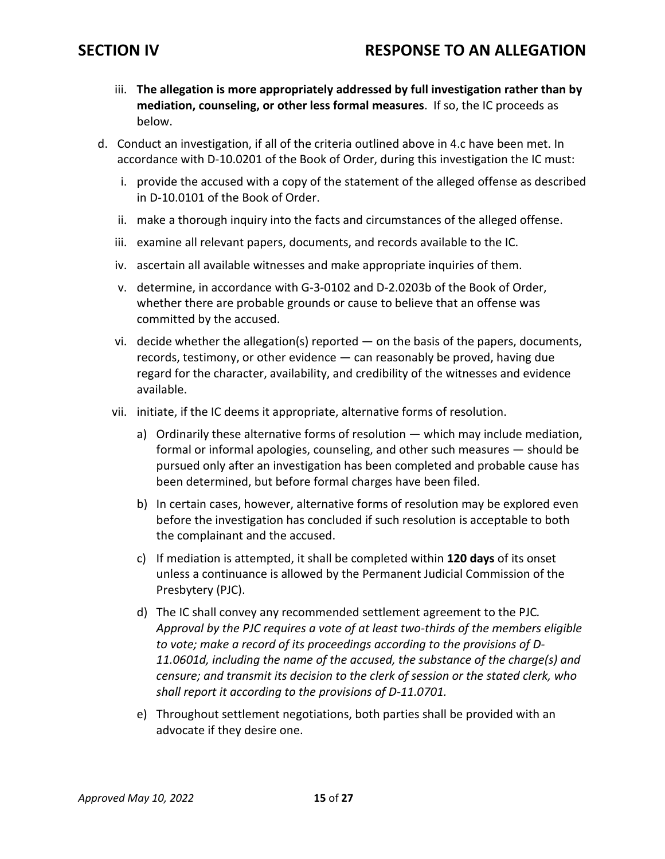- iii. **The allegation is more appropriately addressed by full investigation rather than by mediation, counseling, or other less formal measures**. If so, the IC proceeds as below.
- d. Conduct an investigation, if all of the criteria outlined above in 4.c have been met. In accordance with D-10.0201 of the Book of Order, during this investigation the IC must:
	- i. provide the accused with a copy of the statement of the alleged offense as described in D-10.0101 of the Book of Order.
	- ii. make a thorough inquiry into the facts and circumstances of the alleged offense.
	- iii. examine all relevant papers, documents, and records available to the IC.
	- iv. ascertain all available witnesses and make appropriate inquiries of them.
	- v. determine, in accordance with G-3-0102 and D-2.0203b of the Book of Order, whether there are probable grounds or cause to believe that an offense was committed by the accused.
	- vi. decide whether the allegation(s) reported on the basis of the papers, documents, records, testimony, or other evidence — can reasonably be proved, having due regard for the character, availability, and credibility of the witnesses and evidence available.
	- vii. initiate, if the IC deems it appropriate, alternative forms of resolution.
		- a) Ordinarily these alternative forms of resolution which may include mediation, formal or informal apologies, counseling, and other such measures — should be pursued only after an investigation has been completed and probable cause has been determined, but before formal charges have been filed.
		- b) In certain cases, however, alternative forms of resolution may be explored even before the investigation has concluded if such resolution is acceptable to both the complainant and the accused.
		- c) If mediation is attempted, it shall be completed within **120 days** of its onset unless a continuance is allowed by the Permanent Judicial Commission of the Presbytery (PJC).
		- d) The IC shall convey any recommended settlement agreement to the PJC*. Approval by the PJC requires a vote of at least two-thirds of the members eligible to vote; make a record of its proceedings according to the provisions of D-11.0601d, including the name of the accused, the substance of the charge(s) and censure; and transmit its decision to the clerk of session or the stated clerk, who shall report it according to the provisions of D-11.0701.*
		- e) Throughout settlement negotiations, both parties shall be provided with an advocate if they desire one.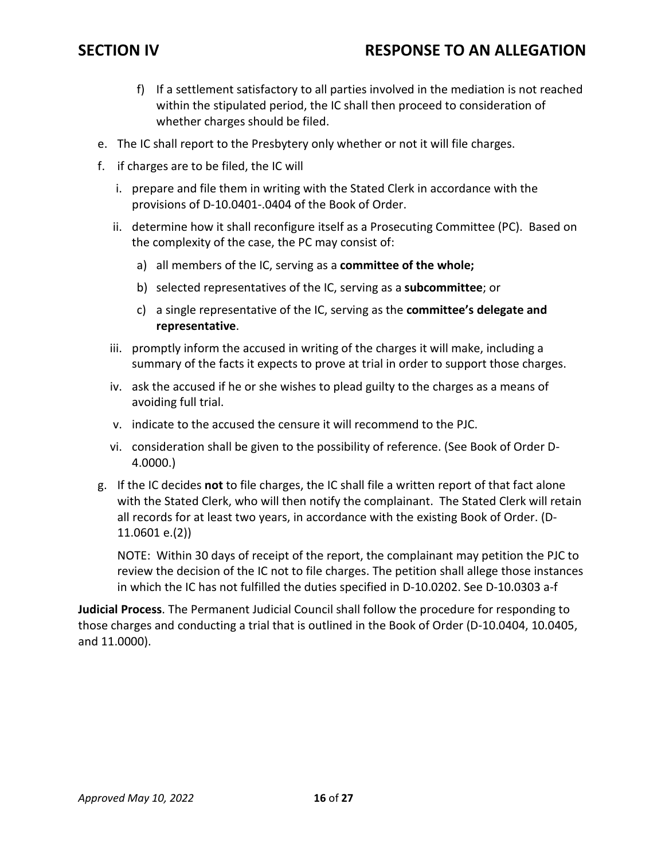## **SECTION IV RESPONSE TO AN ALLEGATION**

- f) If a settlement satisfactory to all parties involved in the mediation is not reached within the stipulated period, the IC shall then proceed to consideration of whether charges should be filed.
- e. The IC shall report to the Presbytery only whether or not it will file charges.
- f. if charges are to be filed, the IC will
	- i. prepare and file them in writing with the Stated Clerk in accordance with the provisions of D-10.0401-.0404 of the Book of Order.
	- ii. determine how it shall reconfigure itself as a Prosecuting Committee (PC). Based on the complexity of the case, the PC may consist of:
		- a) all members of the IC, serving as a **committee of the whole;**
		- b) selected representatives of the IC, serving as a **subcommittee**; or
		- c) a single representative of the IC, serving as the **committee's delegate and representative**.
	- iii. promptly inform the accused in writing of the charges it will make, including a summary of the facts it expects to prove at trial in order to support those charges.
	- iv. ask the accused if he or she wishes to plead guilty to the charges as a means of avoiding full trial.
	- v. indicate to the accused the censure it will recommend to the PJC.
	- vi. consideration shall be given to the possibility of reference. (See Book of Order D-4.0000.)
- g. If the IC decides **not** to file charges, the IC shall file a written report of that fact alone with the Stated Clerk, who will then notify the complainant. The Stated Clerk will retain all records for at least two years, in accordance with the existing Book of Order. (D-11.0601 e.(2))

NOTE: Within 30 days of receipt of the report, the complainant may petition the PJC to review the decision of the IC not to file charges. The petition shall allege those instances in which the IC has not fulfilled the duties specified in D-10.0202. See D-10.0303 a-f

**Judicial Process**. The Permanent Judicial Council shall follow the procedure for responding to those charges and conducting a trial that is outlined in the Book of Order (D-10.0404, 10.0405, and 11.0000).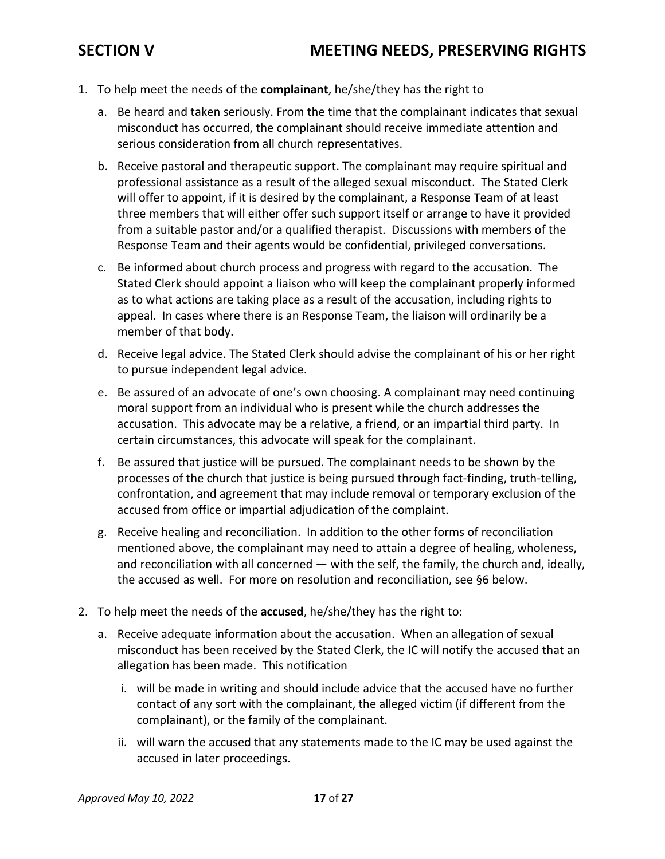- 1. To help meet the needs of the **complainant**, he/she/they has the right to
	- a. Be heard and taken seriously. From the time that the complainant indicates that sexual misconduct has occurred, the complainant should receive immediate attention and serious consideration from all church representatives.
	- b. Receive pastoral and therapeutic support. The complainant may require spiritual and professional assistance as a result of the alleged sexual misconduct. The Stated Clerk will offer to appoint, if it is desired by the complainant, a Response Team of at least three members that will either offer such support itself or arrange to have it provided from a suitable pastor and/or a qualified therapist. Discussions with members of the Response Team and their agents would be confidential, privileged conversations.
	- c. Be informed about church process and progress with regard to the accusation. The Stated Clerk should appoint a liaison who will keep the complainant properly informed as to what actions are taking place as a result of the accusation, including rights to appeal. In cases where there is an Response Team, the liaison will ordinarily be a member of that body.
	- d. Receive legal advice. The Stated Clerk should advise the complainant of his or her right to pursue independent legal advice.
	- e. Be assured of an advocate of one's own choosing. A complainant may need continuing moral support from an individual who is present while the church addresses the accusation. This advocate may be a relative, a friend, or an impartial third party. In certain circumstances, this advocate will speak for the complainant.
	- f. Be assured that justice will be pursued. The complainant needs to be shown by the processes of the church that justice is being pursued through fact-finding, truth-telling, confrontation, and agreement that may include removal or temporary exclusion of the accused from office or impartial adjudication of the complaint.
	- g. Receive healing and reconciliation. In addition to the other forms of reconciliation mentioned above, the complainant may need to attain a degree of healing, wholeness, and reconciliation with all concerned — with the self, the family, the church and, ideally, the accused as well. For more on resolution and reconciliation, see §6 below.
- 2. To help meet the needs of the **accused**, he/she/they has the right to:
	- a. Receive adequate information about the accusation. When an allegation of sexual misconduct has been received by the Stated Clerk, the IC will notify the accused that an allegation has been made. This notification
		- i. will be made in writing and should include advice that the accused have no further contact of any sort with the complainant, the alleged victim (if different from the complainant), or the family of the complainant.
		- ii. will warn the accused that any statements made to the IC may be used against the accused in later proceedings.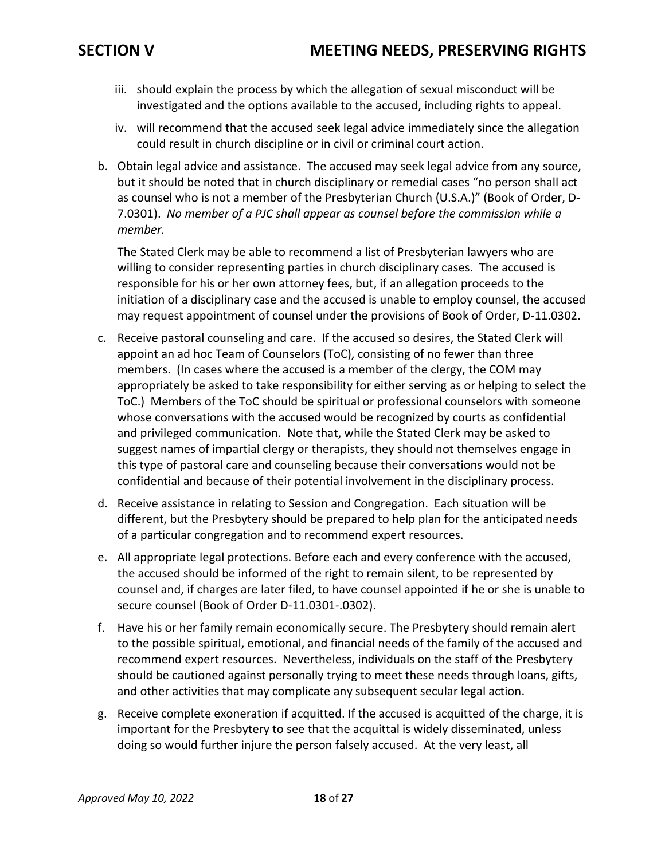- iii. should explain the process by which the allegation of sexual misconduct will be investigated and the options available to the accused, including rights to appeal.
- iv. will recommend that the accused seek legal advice immediately since the allegation could result in church discipline or in civil or criminal court action.
- b. Obtain legal advice and assistance. The accused may seek legal advice from any source, but it should be noted that in church disciplinary or remedial cases "no person shall act as counsel who is not a member of the Presbyterian Church (U.S.A.)" (Book of Order, D-7.0301). *No member of a PJC shall appear as counsel before the commission while a member.*

The Stated Clerk may be able to recommend a list of Presbyterian lawyers who are willing to consider representing parties in church disciplinary cases. The accused is responsible for his or her own attorney fees, but, if an allegation proceeds to the initiation of a disciplinary case and the accused is unable to employ counsel, the accused may request appointment of counsel under the provisions of Book of Order, D-11.0302.

- c. Receive pastoral counseling and care. If the accused so desires, the Stated Clerk will appoint an ad hoc Team of Counselors (ToC), consisting of no fewer than three members. (In cases where the accused is a member of the clergy, the COM may appropriately be asked to take responsibility for either serving as or helping to select the ToC.) Members of the ToC should be spiritual or professional counselors with someone whose conversations with the accused would be recognized by courts as confidential and privileged communication. Note that, while the Stated Clerk may be asked to suggest names of impartial clergy or therapists, they should not themselves engage in this type of pastoral care and counseling because their conversations would not be confidential and because of their potential involvement in the disciplinary process.
- d. Receive assistance in relating to Session and Congregation. Each situation will be different, but the Presbytery should be prepared to help plan for the anticipated needs of a particular congregation and to recommend expert resources.
- e. All appropriate legal protections. Before each and every conference with the accused, the accused should be informed of the right to remain silent, to be represented by counsel and, if charges are later filed, to have counsel appointed if he or she is unable to secure counsel (Book of Order D-11.0301-.0302).
- f. Have his or her family remain economically secure. The Presbytery should remain alert to the possible spiritual, emotional, and financial needs of the family of the accused and recommend expert resources. Nevertheless, individuals on the staff of the Presbytery should be cautioned against personally trying to meet these needs through loans, gifts, and other activities that may complicate any subsequent secular legal action.
- g. Receive complete exoneration if acquitted. If the accused is acquitted of the charge, it is important for the Presbytery to see that the acquittal is widely disseminated, unless doing so would further injure the person falsely accused. At the very least, all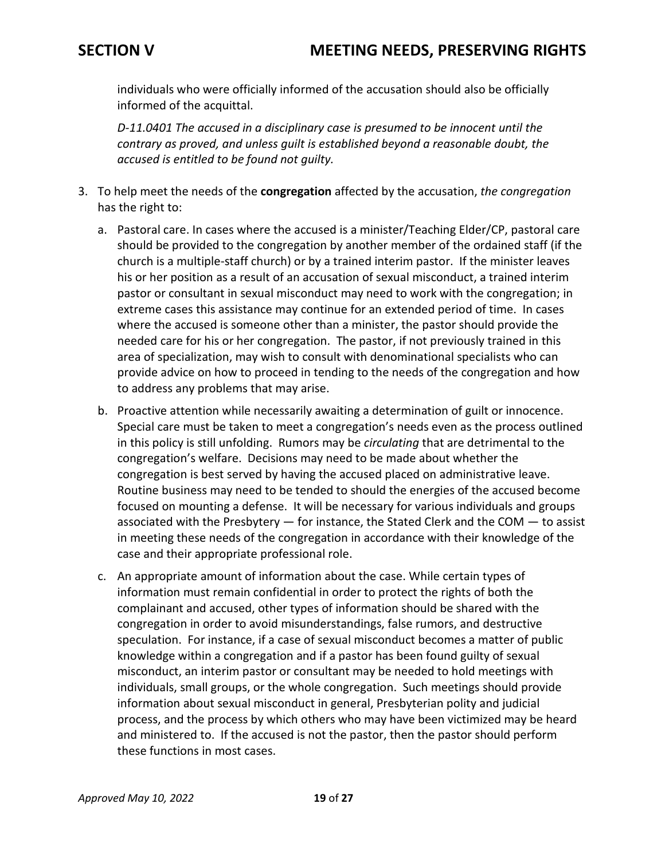individuals who were officially informed of the accusation should also be officially informed of the acquittal.

*D-11.0401 The accused in a disciplinary case is presumed to be innocent until the contrary as proved, and unless guilt is established beyond a reasonable doubt, the accused is entitled to be found not guilty.* 

- 3. To help meet the needs of the **congregation** affected by the accusation, *the congregation* has the right to:
	- a. Pastoral care. In cases where the accused is a minister/Teaching Elder/CP, pastoral care should be provided to the congregation by another member of the ordained staff (if the church is a multiple-staff church) or by a trained interim pastor. If the minister leaves his or her position as a result of an accusation of sexual misconduct, a trained interim pastor or consultant in sexual misconduct may need to work with the congregation; in extreme cases this assistance may continue for an extended period of time. In cases where the accused is someone other than a minister, the pastor should provide the needed care for his or her congregation. The pastor, if not previously trained in this area of specialization, may wish to consult with denominational specialists who can provide advice on how to proceed in tending to the needs of the congregation and how to address any problems that may arise.
	- b. Proactive attention while necessarily awaiting a determination of guilt or innocence. Special care must be taken to meet a congregation's needs even as the process outlined in this policy is still unfolding. Rumors may be *circulating* that are detrimental to the congregation's welfare. Decisions may need to be made about whether the congregation is best served by having the accused placed on administrative leave. Routine business may need to be tended to should the energies of the accused become focused on mounting a defense. It will be necessary for various individuals and groups associated with the Presbytery — for instance, the Stated Clerk and the COM — to assist in meeting these needs of the congregation in accordance with their knowledge of the case and their appropriate professional role.
	- c. An appropriate amount of information about the case. While certain types of information must remain confidential in order to protect the rights of both the complainant and accused, other types of information should be shared with the congregation in order to avoid misunderstandings, false rumors, and destructive speculation. For instance, if a case of sexual misconduct becomes a matter of public knowledge within a congregation and if a pastor has been found guilty of sexual misconduct, an interim pastor or consultant may be needed to hold meetings with individuals, small groups, or the whole congregation. Such meetings should provide information about sexual misconduct in general, Presbyterian polity and judicial process, and the process by which others who may have been victimized may be heard and ministered to. If the accused is not the pastor, then the pastor should perform these functions in most cases.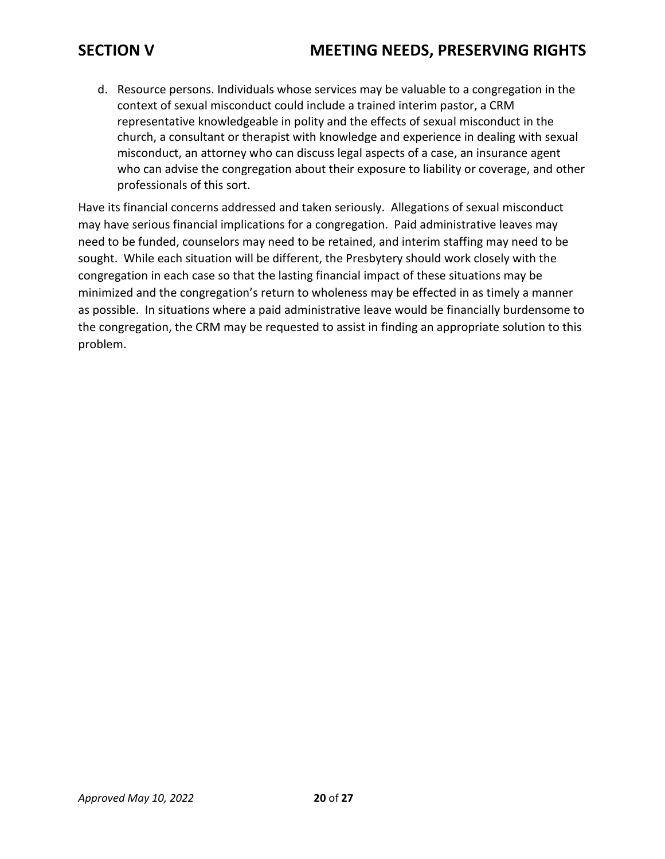## **SECTION V MEETING NEEDS, PRESERVING RIGHTS**

d. Resource persons. Individuals whose services may be valuable to a congregation in the context of sexual misconduct could include a trained interim pastor, a CRM representative knowledgeable in polity and the effects of sexual misconduct in the church, a consultant or therapist with knowledge and experience in dealing with sexual misconduct, an attorney who can discuss legal aspects of a case, an insurance agent who can advise the congregation about their exposure to liability or coverage, and other professionals of this sort.

Have its financial concerns addressed and taken seriously. Allegations of sexual misconduct may have serious financial implications for a congregation. Paid administrative leaves may need to be funded, counselors may need to be retained, and interim staffing may need to be sought. While each situation will be different, the Presbytery should work closely with the congregation in each case so that the lasting financial impact of these situations may be minimized and the congregation's return to wholeness may be effected in as timely a manner as possible. In situations where a paid administrative leave would be financially burdensome to the congregation, the CRM may be requested to assist in finding an appropriate solution to this problem.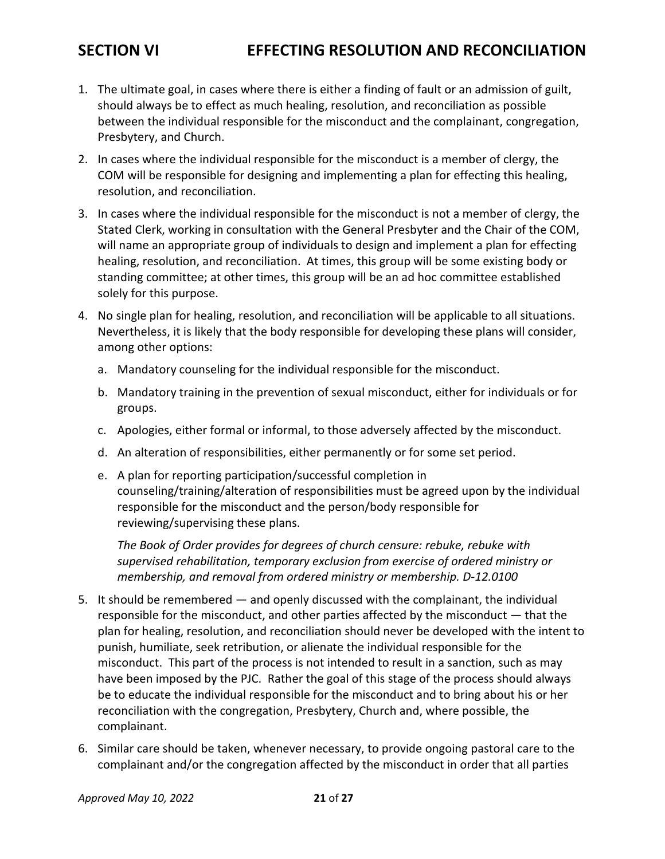## **SECTION VI EFFECTING RESOLUTION AND RECONCILIATION**

- 1. The ultimate goal, in cases where there is either a finding of fault or an admission of guilt, should always be to effect as much healing, resolution, and reconciliation as possible between the individual responsible for the misconduct and the complainant, congregation, Presbytery, and Church.
- 2. In cases where the individual responsible for the misconduct is a member of clergy, the COM will be responsible for designing and implementing a plan for effecting this healing, resolution, and reconciliation.
- 3. In cases where the individual responsible for the misconduct is not a member of clergy, the Stated Clerk, working in consultation with the General Presbyter and the Chair of the COM, will name an appropriate group of individuals to design and implement a plan for effecting healing, resolution, and reconciliation. At times, this group will be some existing body or standing committee; at other times, this group will be an ad hoc committee established solely for this purpose.
- 4. No single plan for healing, resolution, and reconciliation will be applicable to all situations. Nevertheless, it is likely that the body responsible for developing these plans will consider, among other options:
	- a. Mandatory counseling for the individual responsible for the misconduct.
	- b. Mandatory training in the prevention of sexual misconduct, either for individuals or for groups.
	- c. Apologies, either formal or informal, to those adversely affected by the misconduct.
	- d. An alteration of responsibilities, either permanently or for some set period.
	- e. A plan for reporting participation/successful completion in counseling/training/alteration of responsibilities must be agreed upon by the individual responsible for the misconduct and the person/body responsible for reviewing/supervising these plans.

*The Book of Order provides for degrees of church censure: rebuke, rebuke with supervised rehabilitation, temporary exclusion from exercise of ordered ministry or membership, and removal from ordered ministry or membership. D-12.0100*

- 5. It should be remembered and openly discussed with the complainant, the individual responsible for the misconduct, and other parties affected by the misconduct — that the plan for healing, resolution, and reconciliation should never be developed with the intent to punish, humiliate, seek retribution, or alienate the individual responsible for the misconduct. This part of the process is not intended to result in a sanction, such as may have been imposed by the PJC. Rather the goal of this stage of the process should always be to educate the individual responsible for the misconduct and to bring about his or her reconciliation with the congregation, Presbytery, Church and, where possible, the complainant.
- 6. Similar care should be taken, whenever necessary, to provide ongoing pastoral care to the complainant and/or the congregation affected by the misconduct in order that all parties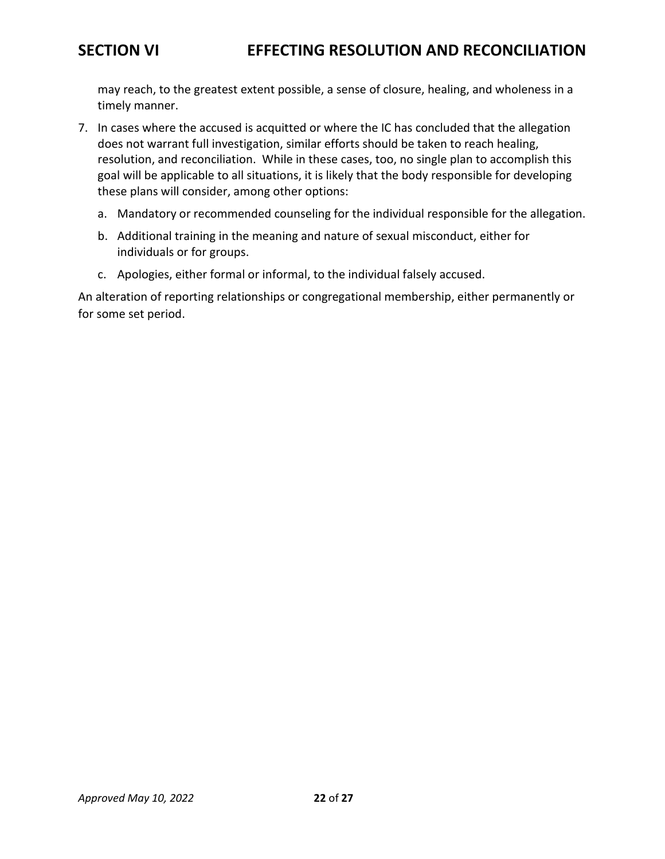may reach, to the greatest extent possible, a sense of closure, healing, and wholeness in a timely manner.

- 7. In cases where the accused is acquitted or where the IC has concluded that the allegation does not warrant full investigation, similar efforts should be taken to reach healing, resolution, and reconciliation. While in these cases, too, no single plan to accomplish this goal will be applicable to all situations, it is likely that the body responsible for developing these plans will consider, among other options:
	- a. Mandatory or recommended counseling for the individual responsible for the allegation.
	- b. Additional training in the meaning and nature of sexual misconduct, either for individuals or for groups.
	- c. Apologies, either formal or informal, to the individual falsely accused.

An alteration of reporting relationships or congregational membership, either permanently or for some set period.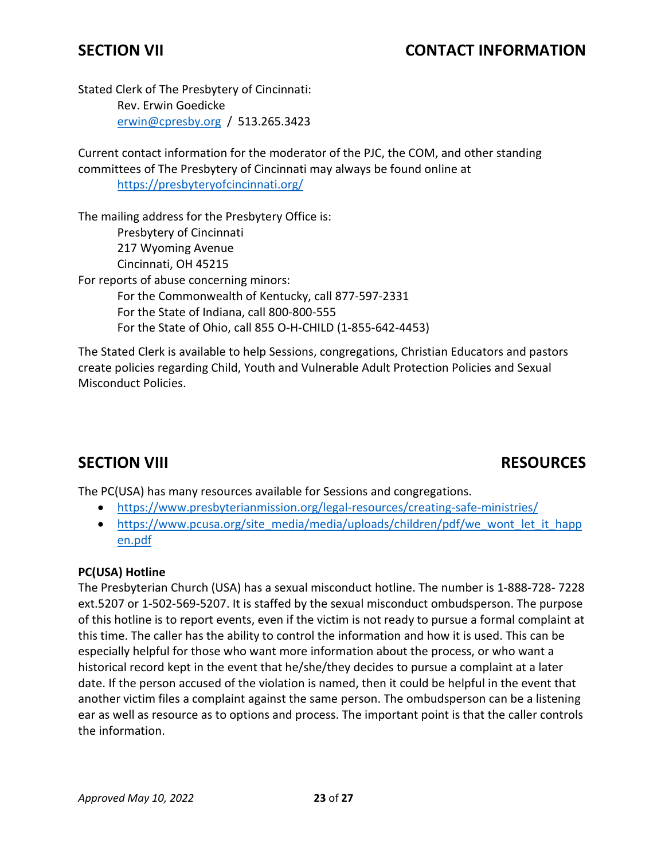## **SECTION VII CONTACT INFORMATION**

Stated Clerk of The Presbytery of Cincinnati: Rev. Erwin Goedicke [erwin@cpresby.org](mailto:erwin@cpresby.org) / 513.265.3423

Current contact information for the moderator of the PJC, the COM, and other standing committees of The Presbytery of Cincinnati may always be found online at <https://presbyteryofcincinnati.org/>

The mailing address for the Presbytery Office is: Presbytery of Cincinnati 217 Wyoming Avenue Cincinnati, OH 45215 For reports of abuse concerning minors: For the Commonwealth of Kentucky, call 877-597-2331 For the State of Indiana, call 800-800-555 For the State of Ohio, call 855 O-H-CHILD (1-855-642-4453)

The Stated Clerk is available to help Sessions, congregations, Christian Educators and pastors create policies regarding Child, Youth and Vulnerable Adult Protection Policies and Sexual Misconduct Policies.

## **SECTION VIII RESOURCES**

The PC(USA) has many resources available for Sessions and congregations.

- <https://www.presbyterianmission.org/legal-resources/creating-safe-ministries/>
- [https://www.pcusa.org/site\\_media/media/uploads/children/pdf/we\\_wont\\_let\\_it\\_happ](https://www.pcusa.org/site_media/media/uploads/children/pdf/we_wont_let_it_happen.pdf) [en.pdf](https://www.pcusa.org/site_media/media/uploads/children/pdf/we_wont_let_it_happen.pdf)

### **PC(USA) Hotline**

The Presbyterian Church (USA) has a sexual misconduct hotline. The number is 1-888-728- 7228 ext.5207 or 1-502-569-5207. It is staffed by the sexual misconduct ombudsperson. The purpose of this hotline is to report events, even if the victim is not ready to pursue a formal complaint at this time. The caller has the ability to control the information and how it is used. This can be especially helpful for those who want more information about the process, or who want a historical record kept in the event that he/she/they decides to pursue a complaint at a later date. If the person accused of the violation is named, then it could be helpful in the event that another victim files a complaint against the same person. The ombudsperson can be a listening ear as well as resource as to options and process. The important point is that the caller controls the information.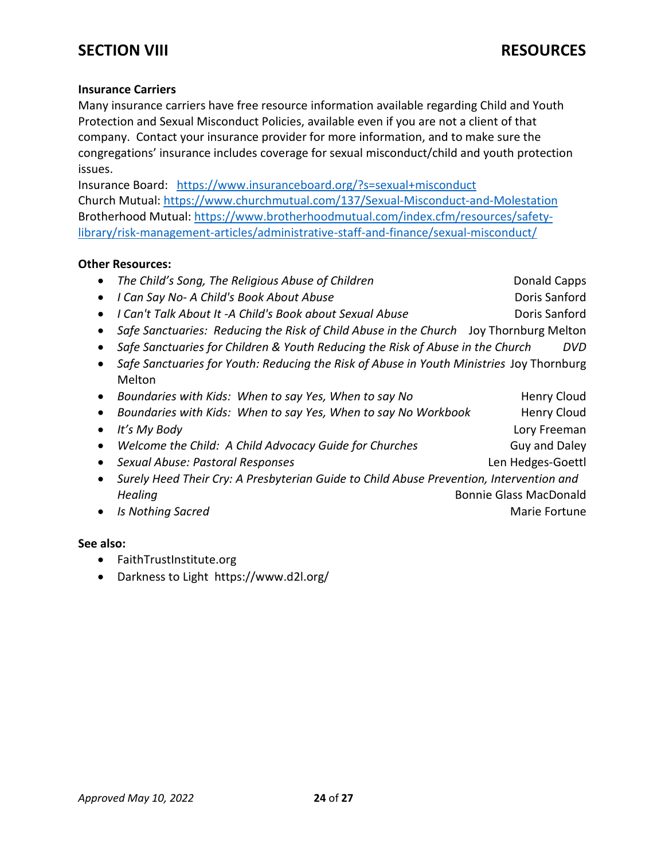## **SECTION VIII RESOURCES**

### **Insurance Carriers**

Many insurance carriers have free resource information available regarding Child and Youth Protection and Sexual Misconduct Policies, available even if you are not a client of that company. Contact your insurance provider for more information, and to make sure the congregations' insurance includes coverage for sexual misconduct/child and youth protection issues.

Insurance Board: <https://www.insuranceboard.org/?s=sexual+misconduct> Church Mutual:<https://www.churchmutual.com/137/Sexual-Misconduct-and-Molestation> Brotherhood Mutual: [https://www.brotherhoodmutual.com/index.cfm/resources/safety](https://www.brotherhoodmutual.com/index.cfm/resources/safety-library/risk-management-articles/administrative-staff-and-finance/sexual-misconduct/)[library/risk-management-articles/administrative-staff-and-finance/sexual-misconduct/](https://www.brotherhoodmutual.com/index.cfm/resources/safety-library/risk-management-articles/administrative-staff-and-finance/sexual-misconduct/)

### **Other Resources:**

|                                                                                          | The Child's Song, The Religious Abuse of Children                                       | <b>Donald Capps</b>           |  |
|------------------------------------------------------------------------------------------|-----------------------------------------------------------------------------------------|-------------------------------|--|
|                                                                                          | I Can Say No- A Child's Book About Abuse                                                | Doris Sanford                 |  |
| $\bullet$                                                                                | I Can't Talk About It -A Child's Book about Sexual Abuse                                | Doris Sanford                 |  |
|                                                                                          | Safe Sanctuaries: Reducing the Risk of Child Abuse in the Church Joy Thornburg Melton   |                               |  |
|                                                                                          | Safe Sanctuaries for Children & Youth Reducing the Risk of Abuse in the Church          | DVD                           |  |
| Safe Sanctuaries for Youth: Reducing the Risk of Abuse in Youth Ministries Joy Thornburg |                                                                                         |                               |  |
|                                                                                          | Melton                                                                                  |                               |  |
| $\bullet$                                                                                | Boundaries with Kids: When to say Yes, When to say No                                   | <b>Henry Cloud</b>            |  |
|                                                                                          | Boundaries with Kids: When to say Yes, When to say No Workbook                          | <b>Henry Cloud</b>            |  |
|                                                                                          | It's My Body                                                                            | Lory Freeman                  |  |
|                                                                                          | Welcome the Child: A Child Advocacy Guide for Churches                                  | Guy and Daley                 |  |
|                                                                                          | Sexual Abuse: Pastoral Responses                                                        | Len Hedges-Goettl             |  |
| ٠                                                                                        | Surely Heed Their Cry: A Presbyterian Guide to Child Abuse Prevention, Intervention and |                               |  |
|                                                                                          | Healing                                                                                 | <b>Bonnie Glass MacDonald</b> |  |
|                                                                                          | <b>Is Nothing Sacred</b>                                                                | Marie Fortune                 |  |
|                                                                                          |                                                                                         |                               |  |

### **See also:**

- FaithTrustInstitute.org
- Darkness to Light https://www.d2l.org/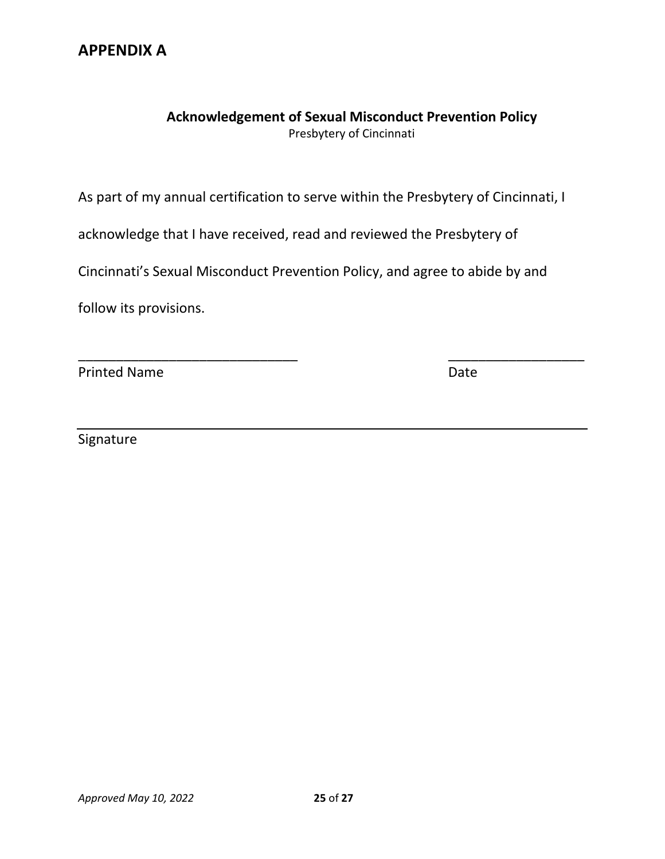## **APPENDIX A**

### **Acknowledgement of Sexual Misconduct Prevention Policy** Presbytery of Cincinnati

As part of my annual certification to serve within the Presbytery of Cincinnati, I

acknowledge that I have received, read and reviewed the Presbytery of

Cincinnati's Sexual Misconduct Prevention Policy, and agree to abide by and

\_\_\_\_\_\_\_\_\_\_\_\_\_\_\_\_\_\_\_\_\_\_\_\_\_\_\_\_\_ \_\_\_\_\_\_\_\_\_\_\_\_\_\_\_\_\_\_

follow its provisions.

Printed Name Date

Signature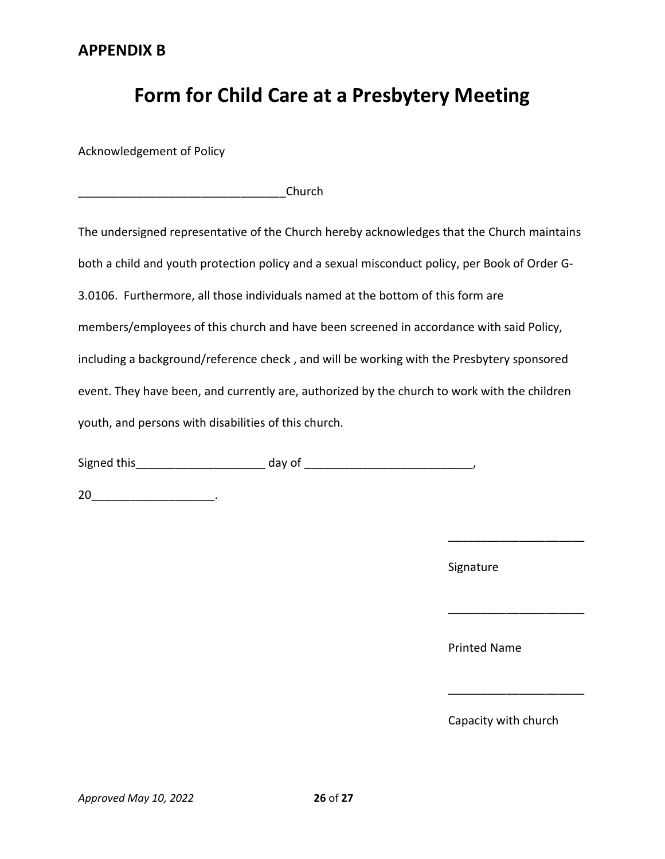# **Form for Child Care at a Presbytery Meeting**

Acknowledgement of Policy

| Church |
|--------|
|--------|

The undersigned representative of the Church hereby acknowledges that the Church maintains both a child and youth protection policy and a sexual misconduct policy, per Book of Order G-3.0106. Furthermore, all those individuals named at the bottom of this form are members/employees of this church and have been screened in accordance with said Policy, including a background/reference check , and will be working with the Presbytery sponsored event. They have been, and currently are, authorized by the church to work with the children youth, and persons with disabilities of this church.

Signed this \_\_\_\_\_\_\_\_\_\_\_\_\_\_\_\_\_\_\_\_\_\_\_\_\_\_ day of \_\_\_\_\_\_\_\_\_\_\_\_\_\_\_\_\_\_\_\_\_\_\_\_\_\_\_\_\_\_\_\_\_\_,

20\_\_\_\_\_\_\_\_\_\_\_\_\_\_\_\_\_\_\_\_\_\_\_\_\_\_\_\_\_\_\_\_\_\_.

Signature

Printed Name

Capacity with church

\_\_\_\_\_\_\_\_\_\_\_\_\_\_\_\_\_\_\_\_\_

\_\_\_\_\_\_\_\_\_\_\_\_\_\_\_\_\_\_\_\_\_

\_\_\_\_\_\_\_\_\_\_\_\_\_\_\_\_\_\_\_\_\_